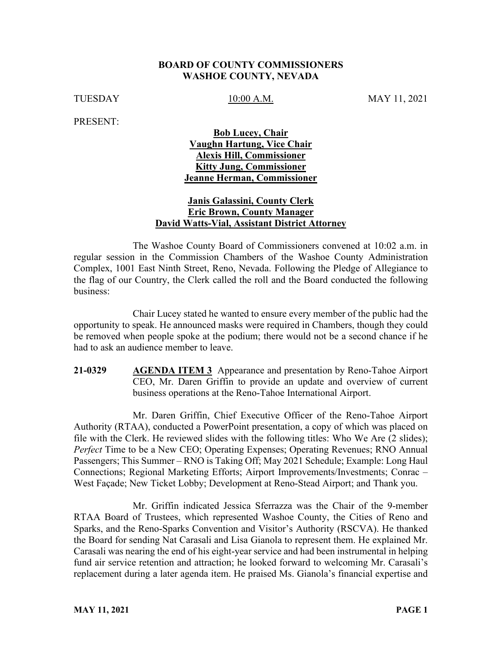#### **BOARD OF COUNTY COMMISSIONERS WASHOE COUNTY, NEVADA**

TUESDAY 10:00 A.M. MAY 11, 2021

PRESENT:

## **Bob Lucey, Chair Vaughn Hartung, Vice Chair Alexis Hill, Commissioner Kitty Jung, Commissioner Jeanne Herman, Commissioner**

### **Janis Galassini, County Clerk Eric Brown, County Manager David Watts-Vial, Assistant District Attorney**

The Washoe County Board of Commissioners convened at 10:02 a.m. in regular session in the Commission Chambers of the Washoe County Administration Complex, 1001 East Ninth Street, Reno, Nevada. Following the Pledge of Allegiance to the flag of our Country, the Clerk called the roll and the Board conducted the following business:

Chair Lucey stated he wanted to ensure every member of the public had the opportunity to speak. He announced masks were required in Chambers, though they could be removed when people spoke at the podium; there would not be a second chance if he had to ask an audience member to leave.

**21-0329 AGENDA ITEM 3** Appearance and presentation by Reno-Tahoe Airport CEO, Mr. Daren Griffin to provide an update and overview of current business operations at the Reno-Tahoe International Airport.

Mr. Daren Griffin, Chief Executive Officer of the Reno-Tahoe Airport Authority (RTAA), conducted a PowerPoint presentation, a copy of which was placed on file with the Clerk. He reviewed slides with the following titles: Who We Are (2 slides); *Perfect* Time to be a New CEO; Operating Expenses; Operating Revenues; RNO Annual Passengers; This Summer – RNO is Taking Off; May 2021 Schedule; Example: Long Haul Connections; Regional Marketing Efforts; Airport Improvements/Investments; Conrac – West Façade; New Ticket Lobby; Development at Reno-Stead Airport; and Thank you.

Mr. Griffin indicated Jessica Sferrazza was the Chair of the 9-member RTAA Board of Trustees, which represented Washoe County, the Cities of Reno and Sparks, and the Reno-Sparks Convention and Visitor's Authority (RSCVA). He thanked the Board for sending Nat Carasali and Lisa Gianola to represent them. He explained Mr. Carasali was nearing the end of his eight-year service and had been instrumental in helping fund air service retention and attraction; he looked forward to welcoming Mr. Carasali's replacement during a later agenda item. He praised Ms. Gianola's financial expertise and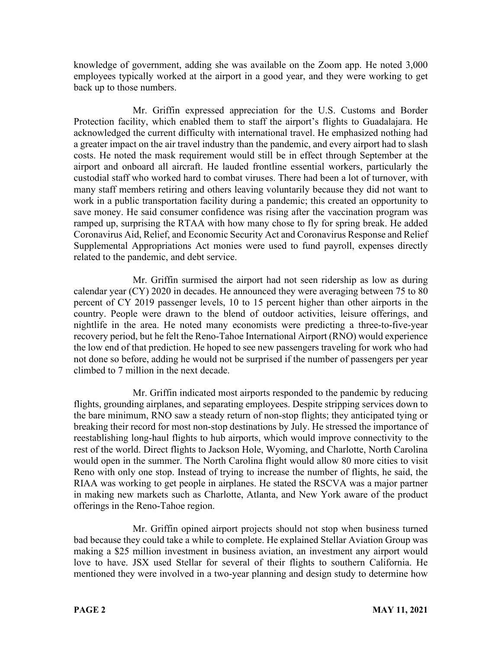knowledge of government, adding she was available on the Zoom app. He noted 3,000 employees typically worked at the airport in a good year, and they were working to get back up to those numbers.

Mr. Griffin expressed appreciation for the U.S. Customs and Border Protection facility, which enabled them to staff the airport's flights to Guadalajara. He acknowledged the current difficulty with international travel. He emphasized nothing had a greater impact on the air travel industry than the pandemic, and every airport had to slash costs. He noted the mask requirement would still be in effect through September at the airport and onboard all aircraft. He lauded frontline essential workers, particularly the custodial staff who worked hard to combat viruses. There had been a lot of turnover, with many staff members retiring and others leaving voluntarily because they did not want to work in a public transportation facility during a pandemic; this created an opportunity to save money. He said consumer confidence was rising after the vaccination program was ramped up, surprising the RTAA with how many chose to fly for spring break. He added Coronavirus Aid, Relief, and Economic Security Act and Coronavirus Response and Relief Supplemental Appropriations Act monies were used to fund payroll, expenses directly related to the pandemic, and debt service.

Mr. Griffin surmised the airport had not seen ridership as low as during calendar year (CY) 2020 in decades. He announced they were averaging between 75 to 80 percent of CY 2019 passenger levels, 10 to 15 percent higher than other airports in the country. People were drawn to the blend of outdoor activities, leisure offerings, and nightlife in the area. He noted many economists were predicting a three-to-five-year recovery period, but he felt the Reno-Tahoe International Airport (RNO) would experience the low end of that prediction. He hoped to see new passengers traveling for work who had not done so before, adding he would not be surprised if the number of passengers per year climbed to 7 million in the next decade.

Mr. Griffin indicated most airports responded to the pandemic by reducing flights, grounding airplanes, and separating employees. Despite stripping services down to the bare minimum, RNO saw a steady return of non-stop flights; they anticipated tying or breaking their record for most non-stop destinations by July. He stressed the importance of reestablishing long-haul flights to hub airports, which would improve connectivity to the rest of the world. Direct flights to Jackson Hole, Wyoming, and Charlotte, North Carolina would open in the summer. The North Carolina flight would allow 80 more cities to visit Reno with only one stop. Instead of trying to increase the number of flights, he said, the RIAA was working to get people in airplanes. He stated the RSCVA was a major partner in making new markets such as Charlotte, Atlanta, and New York aware of the product offerings in the Reno-Tahoe region.

Mr. Griffin opined airport projects should not stop when business turned bad because they could take a while to complete. He explained Stellar Aviation Group was making a \$25 million investment in business aviation, an investment any airport would love to have. JSX used Stellar for several of their flights to southern California. He mentioned they were involved in a two-year planning and design study to determine how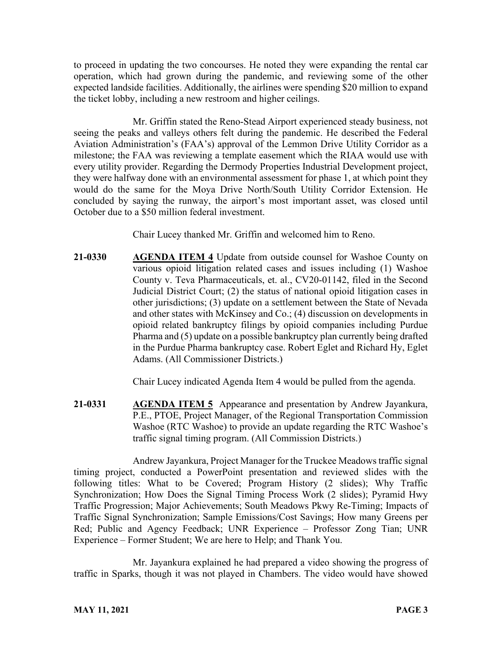to proceed in updating the two concourses. He noted they were expanding the rental car operation, which had grown during the pandemic, and reviewing some of the other expected landside facilities. Additionally, the airlines were spending \$20 million to expand the ticket lobby, including a new restroom and higher ceilings.

Mr. Griffin stated the Reno-Stead Airport experienced steady business, not seeing the peaks and valleys others felt during the pandemic. He described the Federal Aviation Administration's (FAA's) approval of the Lemmon Drive Utility Corridor as a milestone; the FAA was reviewing a template easement which the RIAA would use with every utility provider. Regarding the Dermody Properties Industrial Development project, they were halfway done with an environmental assessment for phase 1, at which point they would do the same for the Moya Drive North/South Utility Corridor Extension. He concluded by saying the runway, the airport's most important asset, was closed until October due to a \$50 million federal investment.

Chair Lucey thanked Mr. Griffin and welcomed him to Reno.

**21-0330 AGENDA ITEM 4** Update from outside counsel for Washoe County on various opioid litigation related cases and issues including (1) Washoe County v. Teva Pharmaceuticals, et. al., CV20-01142, filed in the Second Judicial District Court; (2) the status of national opioid litigation cases in other jurisdictions; (3) update on a settlement between the State of Nevada and other states with McKinsey and Co.; (4) discussion on developments in opioid related bankruptcy filings by opioid companies including Purdue Pharma and (5) update on a possible bankruptcy plan currently being drafted in the Purdue Pharma bankruptcy case. Robert Eglet and Richard Hy, Eglet Adams. (All Commissioner Districts.)

Chair Lucey indicated Agenda Item 4 would be pulled from the agenda.

**21-0331 AGENDA ITEM 5** Appearance and presentation by Andrew Jayankura, P.E., PTOE, Project Manager, of the Regional Transportation Commission Washoe (RTC Washoe) to provide an update regarding the RTC Washoe's traffic signal timing program. (All Commission Districts.)

Andrew Jayankura, Project Manager for the Truckee Meadows traffic signal timing project, conducted a PowerPoint presentation and reviewed slides with the following titles: What to be Covered; Program History (2 slides); Why Traffic Synchronization; How Does the Signal Timing Process Work (2 slides); Pyramid Hwy Traffic Progression; Major Achievements; South Meadows Pkwy Re-Timing; Impacts of Traffic Signal Synchronization; Sample Emissions/Cost Savings; How many Greens per Red; Public and Agency Feedback; UNR Experience – Professor Zong Tian; UNR Experience – Former Student; We are here to Help; and Thank You.

Mr. Jayankura explained he had prepared a video showing the progress of traffic in Sparks, though it was not played in Chambers. The video would have showed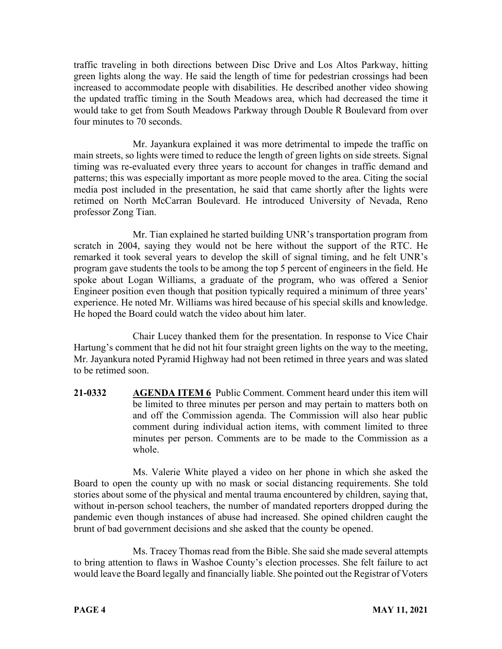traffic traveling in both directions between Disc Drive and Los Altos Parkway, hitting green lights along the way. He said the length of time for pedestrian crossings had been increased to accommodate people with disabilities. He described another video showing the updated traffic timing in the South Meadows area, which had decreased the time it would take to get from South Meadows Parkway through Double R Boulevard from over four minutes to 70 seconds.

Mr. Jayankura explained it was more detrimental to impede the traffic on main streets, so lights were timed to reduce the length of green lights on side streets. Signal timing was re-evaluated every three years to account for changes in traffic demand and patterns; this was especially important as more people moved to the area. Citing the social media post included in the presentation, he said that came shortly after the lights were retimed on North McCarran Boulevard. He introduced University of Nevada, Reno professor Zong Tian.

Mr. Tian explained he started building UNR's transportation program from scratch in 2004, saying they would not be here without the support of the RTC. He remarked it took several years to develop the skill of signal timing, and he felt UNR's program gave students the tools to be among the top 5 percent of engineers in the field. He spoke about Logan Williams, a graduate of the program, who was offered a Senior Engineer position even though that position typically required a minimum of three years' experience. He noted Mr. Williams was hired because of his special skills and knowledge. He hoped the Board could watch the video about him later.

Chair Lucey thanked them for the presentation. In response to Vice Chair Hartung's comment that he did not hit four straight green lights on the way to the meeting, Mr. Jayankura noted Pyramid Highway had not been retimed in three years and was slated to be retimed soon.

**21-0332 AGENDA ITEM 6** Public Comment. Comment heard under this item will be limited to three minutes per person and may pertain to matters both on and off the Commission agenda. The Commission will also hear public comment during individual action items, with comment limited to three minutes per person. Comments are to be made to the Commission as a whole.

Ms. Valerie White played a video on her phone in which she asked the Board to open the county up with no mask or social distancing requirements. She told stories about some of the physical and mental trauma encountered by children, saying that, without in-person school teachers, the number of mandated reporters dropped during the pandemic even though instances of abuse had increased. She opined children caught the brunt of bad government decisions and she asked that the county be opened.

Ms. Tracey Thomas read from the Bible. She said she made several attempts to bring attention to flaws in Washoe County's election processes. She felt failure to act would leave the Board legally and financially liable. She pointed out the Registrar of Voters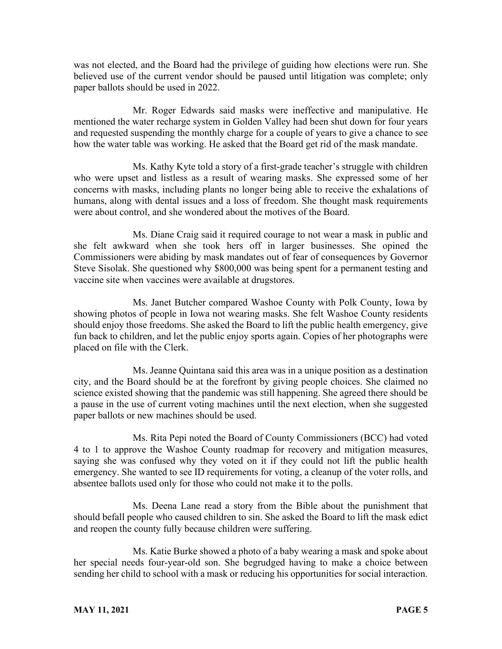was not elected, and the Board had the privilege of guiding how elections were run. She believed use of the current vendor should be paused until litigation was complete; only paper ballots should be used in 2022.

Mr. Roger Edwards said masks were ineffective and manipulative. He mentioned the water recharge system in Golden Valley had been shut down for four years and requested suspending the monthly charge for a couple of years to give a chance to see how the water table was working. He asked that the Board get rid of the mask mandate.

Ms. Kathy Kyte told a story of a first-grade teacher's struggle with children who were upset and listless as a result of wearing masks. She expressed some of her concerns with masks, including plants no longer being able to receive the exhalations of humans, along with dental issues and a loss of freedom. She thought mask requirements were about control, and she wondered about the motives of the Board.

Ms. Diane Craig said it required courage to not wear a mask in public and she felt awkward when she took hers off in larger businesses. She opined the Commissioners were abiding by mask mandates out of fear of consequences by Governor Steve Sisolak. She questioned why \$800,000 was being spent for a permanent testing and vaccine site when vaccines were available at drugstores.

Ms. Janet Butcher compared Washoe County with Polk County, Iowa by showing photos of people in Iowa not wearing masks. She felt Washoe County residents should enjoy those freedoms. She asked the Board to lift the public health emergency, give fun back to children, and let the public enjoy sports again. Copies of her photographs were placed on file with the Clerk.

Ms. Jeanne Quintana said this area was in a unique position as a destination city, and the Board should be at the forefront by giving people choices. She claimed no science existed showing that the pandemic was still happening. She agreed there should be a pause in the use of current voting machines until the next election, when she suggested paper ballots or new machines should be used.

Ms. Rita Pepi noted the Board of County Commissioners (BCC) had voted 4 to 1 to approve the Washoe County roadmap for recovery and mitigation measures, saying she was confused why they voted on it if they could not lift the public health emergency. She wanted to see ID requirements for voting, a cleanup of the voter rolls, and absentee ballots used only for those who could not make it to the polls.

Ms. Deena Lane read a story from the Bible about the punishment that should befall people who caused children to sin. She asked the Board to lift the mask edict and reopen the county fully because children were suffering.

Ms. Katie Burke showed a photo of a baby wearing a mask and spoke about her special needs four-year-old son. She begrudged having to make a choice between sending her child to school with a mask or reducing his opportunities for social interaction.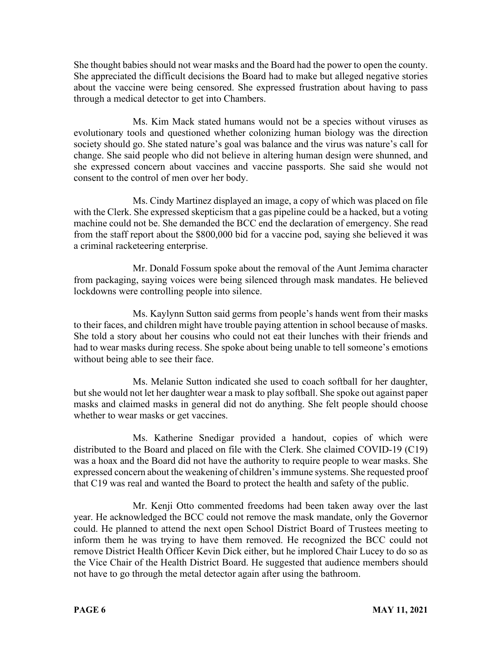She thought babies should not wear masks and the Board had the power to open the county. She appreciated the difficult decisions the Board had to make but alleged negative stories about the vaccine were being censored. She expressed frustration about having to pass through a medical detector to get into Chambers.

Ms. Kim Mack stated humans would not be a species without viruses as evolutionary tools and questioned whether colonizing human biology was the direction society should go. She stated nature's goal was balance and the virus was nature's call for change. She said people who did not believe in altering human design were shunned, and she expressed concern about vaccines and vaccine passports. She said she would not consent to the control of men over her body.

Ms. Cindy Martinez displayed an image, a copy of which was placed on file with the Clerk. She expressed skepticism that a gas pipeline could be a hacked, but a voting machine could not be. She demanded the BCC end the declaration of emergency. She read from the staff report about the \$800,000 bid for a vaccine pod, saying she believed it was a criminal racketeering enterprise.

Mr. Donald Fossum spoke about the removal of the Aunt Jemima character from packaging, saying voices were being silenced through mask mandates. He believed lockdowns were controlling people into silence.

Ms. Kaylynn Sutton said germs from people's hands went from their masks to their faces, and children might have trouble paying attention in school because of masks. She told a story about her cousins who could not eat their lunches with their friends and had to wear masks during recess. She spoke about being unable to tell someone's emotions without being able to see their face.

Ms. Melanie Sutton indicated she used to coach softball for her daughter, but she would not let her daughter wear a mask to play softball. She spoke out against paper masks and claimed masks in general did not do anything. She felt people should choose whether to wear masks or get vaccines.

Ms. Katherine Snedigar provided a handout, copies of which were distributed to the Board and placed on file with the Clerk. She claimed COVID-19 (C19) was a hoax and the Board did not have the authority to require people to wear masks. She expressed concern about the weakening of children's immune systems. She requested proof that C19 was real and wanted the Board to protect the health and safety of the public.

Mr. Kenji Otto commented freedoms had been taken away over the last year. He acknowledged the BCC could not remove the mask mandate, only the Governor could. He planned to attend the next open School District Board of Trustees meeting to inform them he was trying to have them removed. He recognized the BCC could not remove District Health Officer Kevin Dick either, but he implored Chair Lucey to do so as the Vice Chair of the Health District Board. He suggested that audience members should not have to go through the metal detector again after using the bathroom.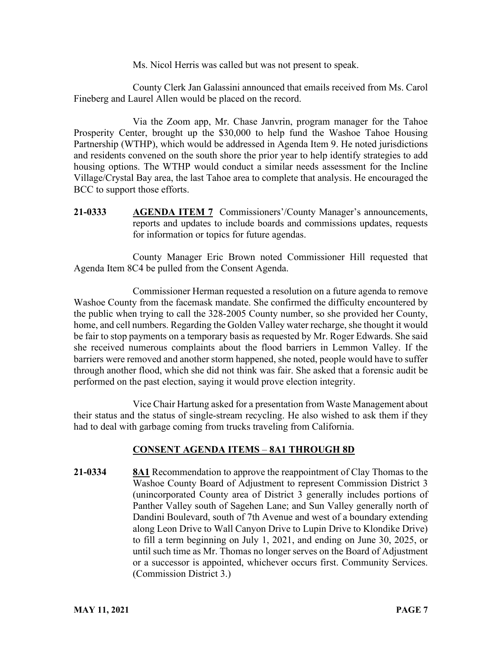Ms. Nicol Herris was called but was not present to speak.

County Clerk Jan Galassini announced that emails received from Ms. Carol Fineberg and Laurel Allen would be placed on the record.

Via the Zoom app, Mr. Chase Janvrin, program manager for the Tahoe Prosperity Center, brought up the \$30,000 to help fund the Washoe Tahoe Housing Partnership (WTHP), which would be addressed in Agenda Item 9. He noted jurisdictions and residents convened on the south shore the prior year to help identify strategies to add housing options. The WTHP would conduct a similar needs assessment for the Incline Village/Crystal Bay area, the last Tahoe area to complete that analysis. He encouraged the BCC to support those efforts.

**21-0333 AGENDA ITEM 7** Commissioners'/County Manager's announcements, reports and updates to include boards and commissions updates, requests for information or topics for future agendas.

County Manager Eric Brown noted Commissioner Hill requested that Agenda Item 8C4 be pulled from the Consent Agenda.

Commissioner Herman requested a resolution on a future agenda to remove Washoe County from the facemask mandate. She confirmed the difficulty encountered by the public when trying to call the 328-2005 County number, so she provided her County, home, and cell numbers. Regarding the Golden Valley water recharge, she thought it would be fair to stop payments on a temporary basis as requested by Mr. Roger Edwards. She said she received numerous complaints about the flood barriers in Lemmon Valley. If the barriers were removed and another storm happened, she noted, people would have to suffer through another flood, which she did not think was fair. She asked that a forensic audit be performed on the past election, saying it would prove election integrity.

Vice Chair Hartung asked for a presentation from Waste Management about their status and the status of single-stream recycling. He also wished to ask them if they had to deal with garbage coming from trucks traveling from California.

# **CONSENT AGENDA ITEMS** – **8A1 THROUGH 8D**

**21-0334 8A1** Recommendation to approve the reappointment of Clay Thomas to the Washoe County Board of Adjustment to represent Commission District 3 (unincorporated County area of District 3 generally includes portions of Panther Valley south of Sagehen Lane; and Sun Valley generally north of Dandini Boulevard, south of 7th Avenue and west of a boundary extending along Leon Drive to Wall Canyon Drive to Lupin Drive to Klondike Drive) to fill a term beginning on July 1, 2021, and ending on June 30, 2025, or until such time as Mr. Thomas no longer serves on the Board of Adjustment or a successor is appointed, whichever occurs first. Community Services. (Commission District 3.)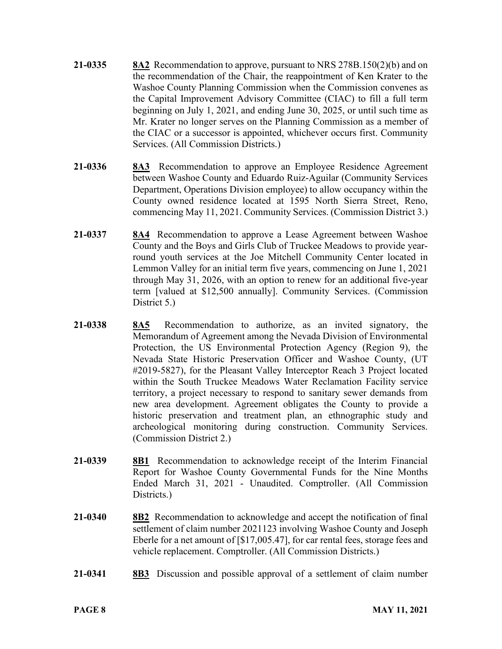- **21-0335 8A2** Recommendation to approve, pursuant to NRS 278B.150(2)(b) and on the recommendation of the Chair, the reappointment of Ken Krater to the Washoe County Planning Commission when the Commission convenes as the Capital Improvement Advisory Committee (CIAC) to fill a full term beginning on July 1, 2021, and ending June 30, 2025, or until such time as Mr. Krater no longer serves on the Planning Commission as a member of the CIAC or a successor is appointed, whichever occurs first. Community Services. (All Commission Districts.)
- **21-0336 8A3** Recommendation to approve an Employee Residence Agreement between Washoe County and Eduardo Ruiz-Aguilar (Community Services Department, Operations Division employee) to allow occupancy within the County owned residence located at 1595 North Sierra Street, Reno, commencing May 11, 2021. Community Services. (Commission District 3.)
- **21-0337 8A4** Recommendation to approve a Lease Agreement between Washoe County and the Boys and Girls Club of Truckee Meadows to provide yearround youth services at the Joe Mitchell Community Center located in Lemmon Valley for an initial term five years, commencing on June 1, 2021 through May 31, 2026, with an option to renew for an additional five-year term [valued at \$12,500 annually]. Community Services. (Commission District 5.)
- **21-0338 8A5** Recommendation to authorize, as an invited signatory, the Memorandum of Agreement among the Nevada Division of Environmental Protection, the US Environmental Protection Agency (Region 9), the Nevada State Historic Preservation Officer and Washoe County, (UT #2019-5827), for the Pleasant Valley Interceptor Reach 3 Project located within the South Truckee Meadows Water Reclamation Facility service territory, a project necessary to respond to sanitary sewer demands from new area development. Agreement obligates the County to provide a historic preservation and treatment plan, an ethnographic study and archeological monitoring during construction. Community Services. (Commission District 2.)
- **21-0339 8B1** Recommendation to acknowledge receipt of the Interim Financial Report for Washoe County Governmental Funds for the Nine Months Ended March 31, 2021 - Unaudited. Comptroller. (All Commission Districts.)
- **21-0340 8B2** Recommendation to acknowledge and accept the notification of final settlement of claim number 2021123 involving Washoe County and Joseph Eberle for a net amount of [\$17,005.47], for car rental fees, storage fees and vehicle replacement. Comptroller. (All Commission Districts.)
- **21-0341 8B3** Discussion and possible approval of a settlement of claim number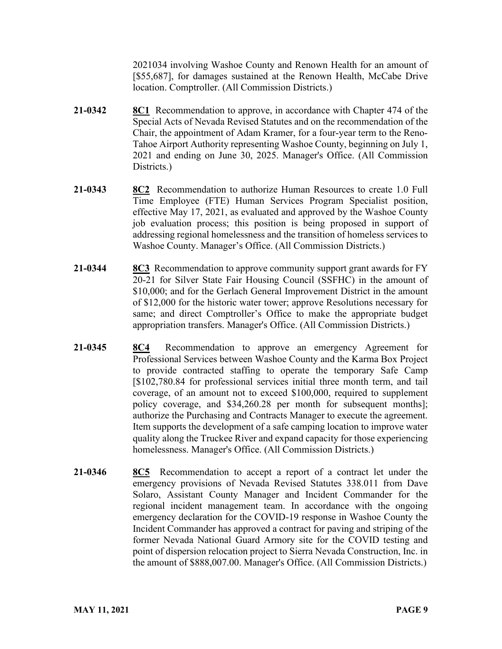2021034 involving Washoe County and Renown Health for an amount of [\$55,687], for damages sustained at the Renown Health, McCabe Drive location. Comptroller. (All Commission Districts.)

- **21-0342 8C1** Recommendation to approve, in accordance with Chapter 474 of the Special Acts of Nevada Revised Statutes and on the recommendation of the Chair, the appointment of Adam Kramer, for a four-year term to the Reno-Tahoe Airport Authority representing Washoe County, beginning on July 1, 2021 and ending on June 30, 2025. Manager's Office. (All Commission Districts.)
- **21-0343 8C2** Recommendation to authorize Human Resources to create 1.0 Full Time Employee (FTE) Human Services Program Specialist position, effective May 17, 2021, as evaluated and approved by the Washoe County job evaluation process; this position is being proposed in support of addressing regional homelessness and the transition of homeless services to Washoe County. Manager's Office. (All Commission Districts.)
- **21-0344 8C3** Recommendation to approve community support grant awards for FY 20-21 for Silver State Fair Housing Council (SSFHC) in the amount of \$10,000; and for the Gerlach General Improvement District in the amount of \$12,000 for the historic water tower; approve Resolutions necessary for same; and direct Comptroller's Office to make the appropriate budget appropriation transfers. Manager's Office. (All Commission Districts.)
- **21-0345 8C4** Recommendation to approve an emergency Agreement for Professional Services between Washoe County and the Karma Box Project to provide contracted staffing to operate the temporary Safe Camp [\$102,780.84 for professional services initial three month term, and tail coverage, of an amount not to exceed \$100,000, required to supplement policy coverage, and \$34,260.28 per month for subsequent months]; authorize the Purchasing and Contracts Manager to execute the agreement. Item supports the development of a safe camping location to improve water quality along the Truckee River and expand capacity for those experiencing homelessness. Manager's Office. (All Commission Districts.)
- **21-0346 8C5** Recommendation to accept a report of a contract let under the emergency provisions of Nevada Revised Statutes 338.011 from Dave Solaro, Assistant County Manager and Incident Commander for the regional incident management team. In accordance with the ongoing emergency declaration for the COVID-19 response in Washoe County the Incident Commander has approved a contract for paving and striping of the former Nevada National Guard Armory site for the COVID testing and point of dispersion relocation project to Sierra Nevada Construction, Inc. in the amount of \$888,007.00. Manager's Office. (All Commission Districts.)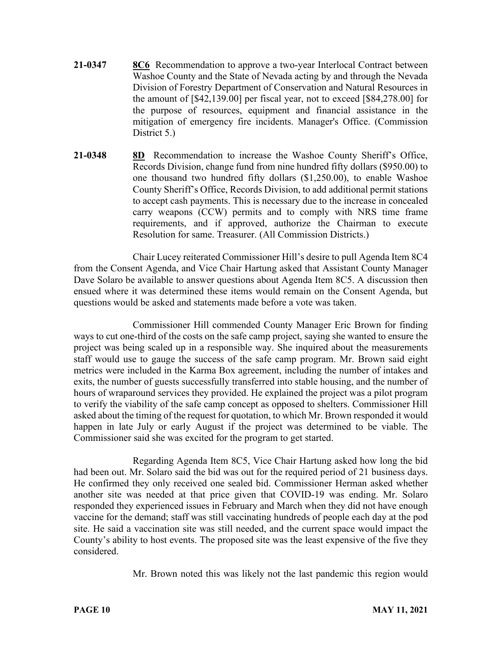- **21-0347 8C6** Recommendation to approve a two-year Interlocal Contract between Washoe County and the State of Nevada acting by and through the Nevada Division of Forestry Department of Conservation and Natural Resources in the amount of [\$42,139.00] per fiscal year, not to exceed [\$84,278.00] for the purpose of resources, equipment and financial assistance in the mitigation of emergency fire incidents. Manager's Office. (Commission District 5.)
- **21-0348 8D** Recommendation to increase the Washoe County Sheriff's Office, Records Division, change fund from nine hundred fifty dollars (\$950.00) to one thousand two hundred fifty dollars (\$1,250.00), to enable Washoe County Sheriff's Office, Records Division, to add additional permit stations to accept cash payments. This is necessary due to the increase in concealed carry weapons (CCW) permits and to comply with NRS time frame requirements, and if approved, authorize the Chairman to execute Resolution for same. Treasurer. (All Commission Districts.)

Chair Lucey reiterated Commissioner Hill's desire to pull Agenda Item 8C4 from the Consent Agenda, and Vice Chair Hartung asked that Assistant County Manager Dave Solaro be available to answer questions about Agenda Item 8C5. A discussion then ensued where it was determined these items would remain on the Consent Agenda, but questions would be asked and statements made before a vote was taken.

Commissioner Hill commended County Manager Eric Brown for finding ways to cut one-third of the costs on the safe camp project, saying she wanted to ensure the project was being scaled up in a responsible way. She inquired about the measurements staff would use to gauge the success of the safe camp program. Mr. Brown said eight metrics were included in the Karma Box agreement, including the number of intakes and exits, the number of guests successfully transferred into stable housing, and the number of hours of wraparound services they provided. He explained the project was a pilot program to verify the viability of the safe camp concept as opposed to shelters. Commissioner Hill asked about the timing of the request for quotation, to which Mr. Brown responded it would happen in late July or early August if the project was determined to be viable. The Commissioner said she was excited for the program to get started.

Regarding Agenda Item 8C5, Vice Chair Hartung asked how long the bid had been out. Mr. Solaro said the bid was out for the required period of 21 business days. He confirmed they only received one sealed bid. Commissioner Herman asked whether another site was needed at that price given that COVID-19 was ending. Mr. Solaro responded they experienced issues in February and March when they did not have enough vaccine for the demand; staff was still vaccinating hundreds of people each day at the pod site. He said a vaccination site was still needed, and the current space would impact the County's ability to host events. The proposed site was the least expensive of the five they considered.

Mr. Brown noted this was likely not the last pandemic this region would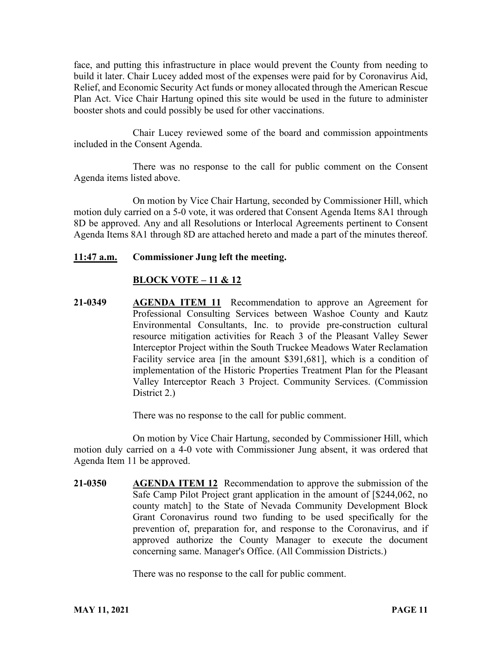face, and putting this infrastructure in place would prevent the County from needing to build it later. Chair Lucey added most of the expenses were paid for by Coronavirus Aid, Relief, and Economic Security Act funds or money allocated through the American Rescue Plan Act. Vice Chair Hartung opined this site would be used in the future to administer booster shots and could possibly be used for other vaccinations.

Chair Lucey reviewed some of the board and commission appointments included in the Consent Agenda.

There was no response to the call for public comment on the Consent Agenda items listed above.

On motion by Vice Chair Hartung, seconded by Commissioner Hill, which motion duly carried on a 5-0 vote, it was ordered that Consent Agenda Items 8A1 through 8D be approved. Any and all Resolutions or Interlocal Agreements pertinent to Consent Agenda Items 8A1 through 8D are attached hereto and made a part of the minutes thereof.

### **11:47 a.m. Commissioner Jung left the meeting.**

#### **BLOCK VOTE – 11 & 12**

**21-0349 AGENDA ITEM 11** Recommendation to approve an Agreement for Professional Consulting Services between Washoe County and Kautz Environmental Consultants, Inc. to provide pre-construction cultural resource mitigation activities for Reach 3 of the Pleasant Valley Sewer Interceptor Project within the South Truckee Meadows Water Reclamation Facility service area [in the amount \$391,681], which is a condition of implementation of the Historic Properties Treatment Plan for the Pleasant Valley Interceptor Reach 3 Project. Community Services. (Commission District 2.)

There was no response to the call for public comment.

On motion by Vice Chair Hartung, seconded by Commissioner Hill, which motion duly carried on a 4-0 vote with Commissioner Jung absent, it was ordered that Agenda Item 11 be approved.

**21-0350 AGENDA ITEM 12** Recommendation to approve the submission of the Safe Camp Pilot Project grant application in the amount of [\$244,062, no county match] to the State of Nevada Community Development Block Grant Coronavirus round two funding to be used specifically for the prevention of, preparation for, and response to the Coronavirus, and if approved authorize the County Manager to execute the document concerning same. Manager's Office. (All Commission Districts.)

There was no response to the call for public comment.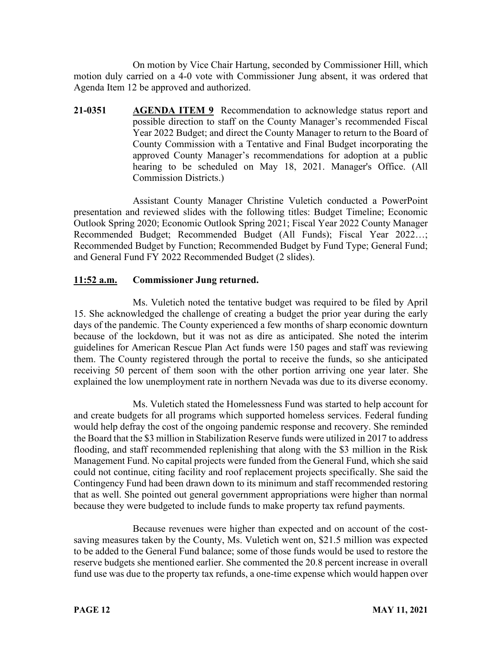On motion by Vice Chair Hartung, seconded by Commissioner Hill, which motion duly carried on a 4-0 vote with Commissioner Jung absent, it was ordered that Agenda Item 12 be approved and authorized.

**21-0351 AGENDA ITEM 9** Recommendation to acknowledge status report and possible direction to staff on the County Manager's recommended Fiscal Year 2022 Budget; and direct the County Manager to return to the Board of County Commission with a Tentative and Final Budget incorporating the approved County Manager's recommendations for adoption at a public hearing to be scheduled on May 18, 2021. Manager's Office. (All Commission Districts.)

Assistant County Manager Christine Vuletich conducted a PowerPoint presentation and reviewed slides with the following titles: Budget Timeline; Economic Outlook Spring 2020; Economic Outlook Spring 2021; Fiscal Year 2022 County Manager Recommended Budget; Recommended Budget (All Funds); Fiscal Year 2022…; Recommended Budget by Function; Recommended Budget by Fund Type; General Fund; and General Fund FY 2022 Recommended Budget (2 slides).

# **11:52 a.m. Commissioner Jung returned.**

Ms. Vuletich noted the tentative budget was required to be filed by April 15. She acknowledged the challenge of creating a budget the prior year during the early days of the pandemic. The County experienced a few months of sharp economic downturn because of the lockdown, but it was not as dire as anticipated. She noted the interim guidelines for American Rescue Plan Act funds were 150 pages and staff was reviewing them. The County registered through the portal to receive the funds, so she anticipated receiving 50 percent of them soon with the other portion arriving one year later. She explained the low unemployment rate in northern Nevada was due to its diverse economy.

Ms. Vuletich stated the Homelessness Fund was started to help account for and create budgets for all programs which supported homeless services. Federal funding would help defray the cost of the ongoing pandemic response and recovery. She reminded the Board that the \$3 million in Stabilization Reserve funds were utilized in 2017 to address flooding, and staff recommended replenishing that along with the \$3 million in the Risk Management Fund. No capital projects were funded from the General Fund, which she said could not continue, citing facility and roof replacement projects specifically. She said the Contingency Fund had been drawn down to its minimum and staff recommended restoring that as well. She pointed out general government appropriations were higher than normal because they were budgeted to include funds to make property tax refund payments.

Because revenues were higher than expected and on account of the costsaving measures taken by the County, Ms. Vuletich went on, \$21.5 million was expected to be added to the General Fund balance; some of those funds would be used to restore the reserve budgets she mentioned earlier. She commented the 20.8 percent increase in overall fund use was due to the property tax refunds, a one-time expense which would happen over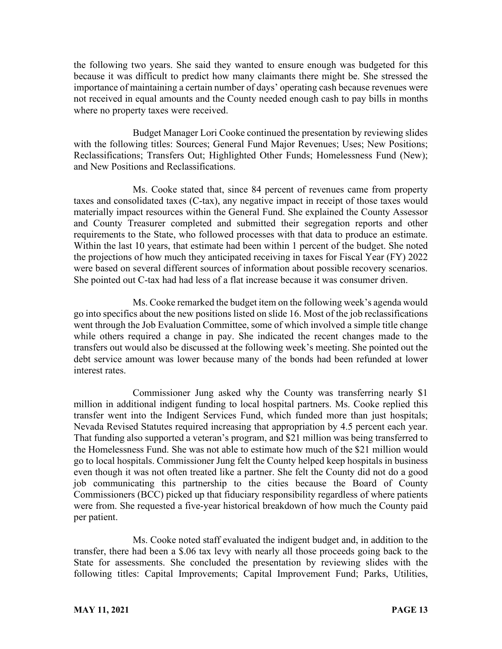the following two years. She said they wanted to ensure enough was budgeted for this because it was difficult to predict how many claimants there might be. She stressed the importance of maintaining a certain number of days' operating cash because revenues were not received in equal amounts and the County needed enough cash to pay bills in months where no property taxes were received.

Budget Manager Lori Cooke continued the presentation by reviewing slides with the following titles: Sources; General Fund Major Revenues; Uses; New Positions; Reclassifications; Transfers Out; Highlighted Other Funds; Homelessness Fund (New); and New Positions and Reclassifications.

Ms. Cooke stated that, since 84 percent of revenues came from property taxes and consolidated taxes (C-tax), any negative impact in receipt of those taxes would materially impact resources within the General Fund. She explained the County Assessor and County Treasurer completed and submitted their segregation reports and other requirements to the State, who followed processes with that data to produce an estimate. Within the last 10 years, that estimate had been within 1 percent of the budget. She noted the projections of how much they anticipated receiving in taxes for Fiscal Year (FY) 2022 were based on several different sources of information about possible recovery scenarios. She pointed out C-tax had had less of a flat increase because it was consumer driven.

Ms. Cooke remarked the budget item on the following week's agenda would go into specifics about the new positions listed on slide 16. Most of the job reclassifications went through the Job Evaluation Committee, some of which involved a simple title change while others required a change in pay. She indicated the recent changes made to the transfers out would also be discussed at the following week's meeting. She pointed out the debt service amount was lower because many of the bonds had been refunded at lower interest rates.

Commissioner Jung asked why the County was transferring nearly \$1 million in additional indigent funding to local hospital partners. Ms. Cooke replied this transfer went into the Indigent Services Fund, which funded more than just hospitals; Nevada Revised Statutes required increasing that appropriation by 4.5 percent each year. That funding also supported a veteran's program, and \$21 million was being transferred to the Homelessness Fund. She was not able to estimate how much of the \$21 million would go to local hospitals. Commissioner Jung felt the County helped keep hospitals in business even though it was not often treated like a partner. She felt the County did not do a good job communicating this partnership to the cities because the Board of County Commissioners (BCC) picked up that fiduciary responsibility regardless of where patients were from. She requested a five-year historical breakdown of how much the County paid per patient.

Ms. Cooke noted staff evaluated the indigent budget and, in addition to the transfer, there had been a \$.06 tax levy with nearly all those proceeds going back to the State for assessments. She concluded the presentation by reviewing slides with the following titles: Capital Improvements; Capital Improvement Fund; Parks, Utilities,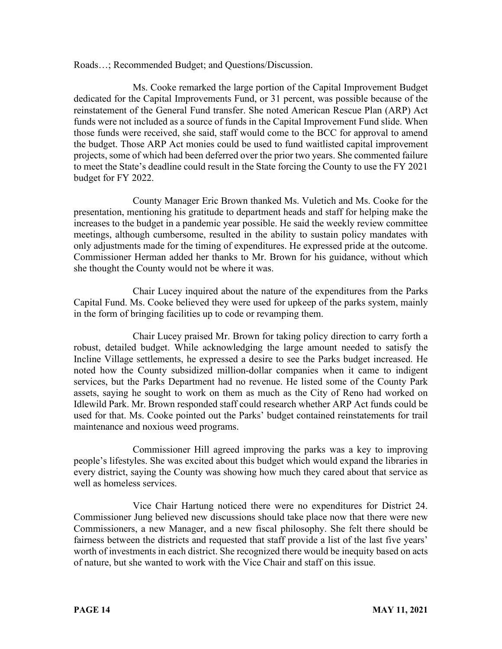Roads…; Recommended Budget; and Questions/Discussion.

Ms. Cooke remarked the large portion of the Capital Improvement Budget dedicated for the Capital Improvements Fund, or 31 percent, was possible because of the reinstatement of the General Fund transfer. She noted American Rescue Plan (ARP) Act funds were not included as a source of funds in the Capital Improvement Fund slide. When those funds were received, she said, staff would come to the BCC for approval to amend the budget. Those ARP Act monies could be used to fund waitlisted capital improvement projects, some of which had been deferred over the prior two years. She commented failure to meet the State's deadline could result in the State forcing the County to use the FY 2021 budget for FY 2022.

County Manager Eric Brown thanked Ms. Vuletich and Ms. Cooke for the presentation, mentioning his gratitude to department heads and staff for helping make the increases to the budget in a pandemic year possible. He said the weekly review committee meetings, although cumbersome, resulted in the ability to sustain policy mandates with only adjustments made for the timing of expenditures. He expressed pride at the outcome. Commissioner Herman added her thanks to Mr. Brown for his guidance, without which she thought the County would not be where it was.

Chair Lucey inquired about the nature of the expenditures from the Parks Capital Fund. Ms. Cooke believed they were used for upkeep of the parks system, mainly in the form of bringing facilities up to code or revamping them.

Chair Lucey praised Mr. Brown for taking policy direction to carry forth a robust, detailed budget. While acknowledging the large amount needed to satisfy the Incline Village settlements, he expressed a desire to see the Parks budget increased. He noted how the County subsidized million-dollar companies when it came to indigent services, but the Parks Department had no revenue. He listed some of the County Park assets, saying he sought to work on them as much as the City of Reno had worked on Idlewild Park. Mr. Brown responded staff could research whether ARP Act funds could be used for that. Ms. Cooke pointed out the Parks' budget contained reinstatements for trail maintenance and noxious weed programs.

Commissioner Hill agreed improving the parks was a key to improving people's lifestyles. She was excited about this budget which would expand the libraries in every district, saying the County was showing how much they cared about that service as well as homeless services.

Vice Chair Hartung noticed there were no expenditures for District 24. Commissioner Jung believed new discussions should take place now that there were new Commissioners, a new Manager, and a new fiscal philosophy. She felt there should be fairness between the districts and requested that staff provide a list of the last five years' worth of investments in each district. She recognized there would be inequity based on acts of nature, but she wanted to work with the Vice Chair and staff on this issue.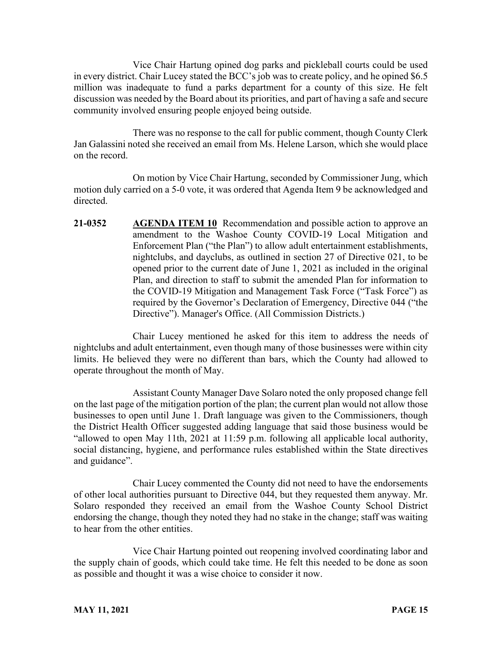Vice Chair Hartung opined dog parks and pickleball courts could be used in every district. Chair Lucey stated the BCC's job was to create policy, and he opined \$6.5 million was inadequate to fund a parks department for a county of this size. He felt discussion was needed by the Board about its priorities, and part of having a safe and secure community involved ensuring people enjoyed being outside.

There was no response to the call for public comment, though County Clerk Jan Galassini noted she received an email from Ms. Helene Larson, which she would place on the record.

On motion by Vice Chair Hartung, seconded by Commissioner Jung, which motion duly carried on a 5-0 vote, it was ordered that Agenda Item 9 be acknowledged and directed.

**21-0352 AGENDA ITEM 10** Recommendation and possible action to approve an amendment to the Washoe County COVID-19 Local Mitigation and Enforcement Plan ("the Plan") to allow adult entertainment establishments, nightclubs, and dayclubs, as outlined in section 27 of Directive 021, to be opened prior to the current date of June 1, 2021 as included in the original Plan, and direction to staff to submit the amended Plan for information to the COVID-19 Mitigation and Management Task Force ("Task Force") as required by the Governor's Declaration of Emergency, Directive 044 ("the Directive"). Manager's Office. (All Commission Districts.)

Chair Lucey mentioned he asked for this item to address the needs of nightclubs and adult entertainment, even though many of those businesses were within city limits. He believed they were no different than bars, which the County had allowed to operate throughout the month of May.

Assistant County Manager Dave Solaro noted the only proposed change fell on the last page of the mitigation portion of the plan; the current plan would not allow those businesses to open until June 1. Draft language was given to the Commissioners, though the District Health Officer suggested adding language that said those business would be "allowed to open May 11th, 2021 at 11:59 p.m. following all applicable local authority, social distancing, hygiene, and performance rules established within the State directives and guidance".

Chair Lucey commented the County did not need to have the endorsements of other local authorities pursuant to Directive 044, but they requested them anyway. Mr. Solaro responded they received an email from the Washoe County School District endorsing the change, though they noted they had no stake in the change; staff was waiting to hear from the other entities.

Vice Chair Hartung pointed out reopening involved coordinating labor and the supply chain of goods, which could take time. He felt this needed to be done as soon as possible and thought it was a wise choice to consider it now.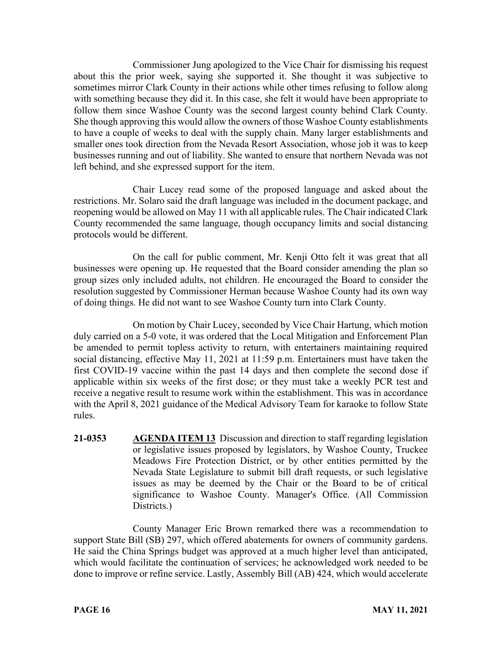Commissioner Jung apologized to the Vice Chair for dismissing his request about this the prior week, saying she supported it. She thought it was subjective to sometimes mirror Clark County in their actions while other times refusing to follow along with something because they did it. In this case, she felt it would have been appropriate to follow them since Washoe County was the second largest county behind Clark County. She though approving this would allow the owners of those Washoe County establishments to have a couple of weeks to deal with the supply chain. Many larger establishments and smaller ones took direction from the Nevada Resort Association, whose job it was to keep businesses running and out of liability. She wanted to ensure that northern Nevada was not left behind, and she expressed support for the item.

Chair Lucey read some of the proposed language and asked about the restrictions. Mr. Solaro said the draft language was included in the document package, and reopening would be allowed on May 11 with all applicable rules. The Chair indicated Clark County recommended the same language, though occupancy limits and social distancing protocols would be different.

On the call for public comment, Mr. Kenji Otto felt it was great that all businesses were opening up. He requested that the Board consider amending the plan so group sizes only included adults, not children. He encouraged the Board to consider the resolution suggested by Commissioner Herman because Washoe County had its own way of doing things. He did not want to see Washoe County turn into Clark County.

On motion by Chair Lucey, seconded by Vice Chair Hartung, which motion duly carried on a 5-0 vote, it was ordered that the Local Mitigation and Enforcement Plan be amended to permit topless activity to return, with entertainers maintaining required social distancing, effective May 11, 2021 at 11:59 p.m. Entertainers must have taken the first COVID-19 vaccine within the past 14 days and then complete the second dose if applicable within six weeks of the first dose; or they must take a weekly PCR test and receive a negative result to resume work within the establishment. This was in accordance with the April 8, 2021 guidance of the Medical Advisory Team for karaoke to follow State rules.

**21-0353 AGENDA ITEM 13** Discussion and direction to staff regarding legislation or legislative issues proposed by legislators, by Washoe County, Truckee Meadows Fire Protection District, or by other entities permitted by the Nevada State Legislature to submit bill draft requests, or such legislative issues as may be deemed by the Chair or the Board to be of critical significance to Washoe County. Manager's Office. (All Commission Districts.)

County Manager Eric Brown remarked there was a recommendation to support State Bill (SB) 297, which offered abatements for owners of community gardens. He said the China Springs budget was approved at a much higher level than anticipated, which would facilitate the continuation of services; he acknowledged work needed to be done to improve or refine service. Lastly, Assembly Bill (AB) 424, which would accelerate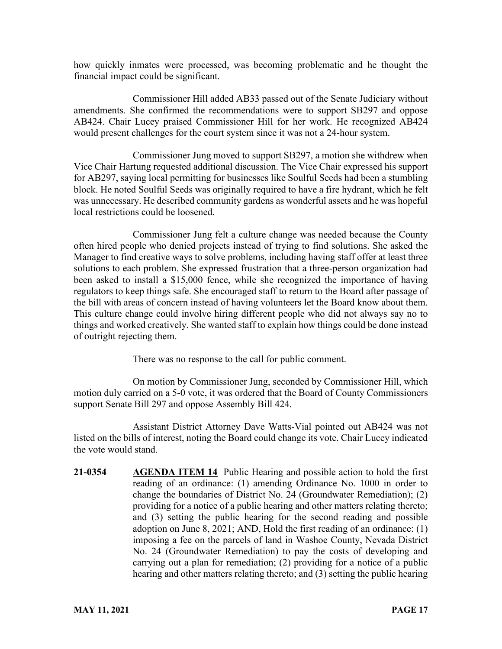how quickly inmates were processed, was becoming problematic and he thought the financial impact could be significant.

Commissioner Hill added AB33 passed out of the Senate Judiciary without amendments. She confirmed the recommendations were to support SB297 and oppose AB424. Chair Lucey praised Commissioner Hill for her work. He recognized AB424 would present challenges for the court system since it was not a 24-hour system.

Commissioner Jung moved to support SB297, a motion she withdrew when Vice Chair Hartung requested additional discussion. The Vice Chair expressed his support for AB297, saying local permitting for businesses like Soulful Seeds had been a stumbling block. He noted Soulful Seeds was originally required to have a fire hydrant, which he felt was unnecessary. He described community gardens as wonderful assets and he was hopeful local restrictions could be loosened.

Commissioner Jung felt a culture change was needed because the County often hired people who denied projects instead of trying to find solutions. She asked the Manager to find creative ways to solve problems, including having staff offer at least three solutions to each problem. She expressed frustration that a three-person organization had been asked to install a \$15,000 fence, while she recognized the importance of having regulators to keep things safe. She encouraged staff to return to the Board after passage of the bill with areas of concern instead of having volunteers let the Board know about them. This culture change could involve hiring different people who did not always say no to things and worked creatively. She wanted staff to explain how things could be done instead of outright rejecting them.

There was no response to the call for public comment.

On motion by Commissioner Jung, seconded by Commissioner Hill, which motion duly carried on a 5-0 vote, it was ordered that the Board of County Commissioners support Senate Bill 297 and oppose Assembly Bill 424.

Assistant District Attorney Dave Watts-Vial pointed out AB424 was not listed on the bills of interest, noting the Board could change its vote. Chair Lucey indicated the vote would stand.

**21-0354 AGENDA ITEM 14** Public Hearing and possible action to hold the first reading of an ordinance: (1) amending Ordinance No. 1000 in order to change the boundaries of District No. 24 (Groundwater Remediation); (2) providing for a notice of a public hearing and other matters relating thereto; and (3) setting the public hearing for the second reading and possible adoption on June 8, 2021; AND, Hold the first reading of an ordinance: (1) imposing a fee on the parcels of land in Washoe County, Nevada District No. 24 (Groundwater Remediation) to pay the costs of developing and carrying out a plan for remediation; (2) providing for a notice of a public hearing and other matters relating thereto; and (3) setting the public hearing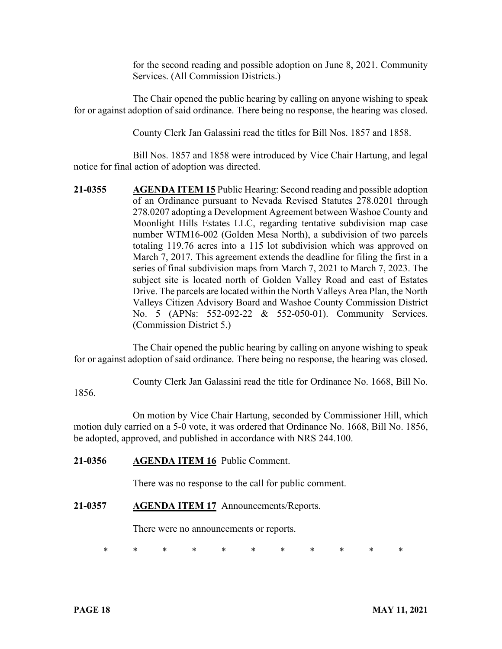for the second reading and possible adoption on June 8, 2021. Community Services. (All Commission Districts.)

The Chair opened the public hearing by calling on anyone wishing to speak for or against adoption of said ordinance. There being no response, the hearing was closed.

County Clerk Jan Galassini read the titles for Bill Nos. 1857 and 1858.

Bill Nos. 1857 and 1858 were introduced by Vice Chair Hartung, and legal notice for final action of adoption was directed.

**21-0355 AGENDA ITEM 15** Public Hearing: Second reading and possible adoption of an Ordinance pursuant to Nevada Revised Statutes 278.0201 through 278.0207 adopting a Development Agreement between Washoe County and Moonlight Hills Estates LLC, regarding tentative subdivision map case number WTM16-002 (Golden Mesa North), a subdivision of two parcels totaling 119.76 acres into a 115 lot subdivision which was approved on March 7, 2017. This agreement extends the deadline for filing the first in a series of final subdivision maps from March 7, 2021 to March 7, 2023. The subject site is located north of Golden Valley Road and east of Estates Drive. The parcels are located within the North Valleys Area Plan, the North Valleys Citizen Advisory Board and Washoe County Commission District No. 5 (APNs: 552-092-22 & 552-050-01). Community Services. (Commission District 5.)

The Chair opened the public hearing by calling on anyone wishing to speak for or against adoption of said ordinance. There being no response, the hearing was closed.

County Clerk Jan Galassini read the title for Ordinance No. 1668, Bill No.

1856.

On motion by Vice Chair Hartung, seconded by Commissioner Hill, which motion duly carried on a 5-0 vote, it was ordered that Ordinance No. 1668, Bill No. 1856, be adopted, approved, and published in accordance with NRS 244.100.

## **21-0356 AGENDA ITEM 16** Public Comment.

There was no response to the call for public comment.

### **21-0357 AGENDA ITEM 17** Announcements/Reports.

There were no announcements or reports.

\* \* \* \* \* \* \* \* \* \* \*